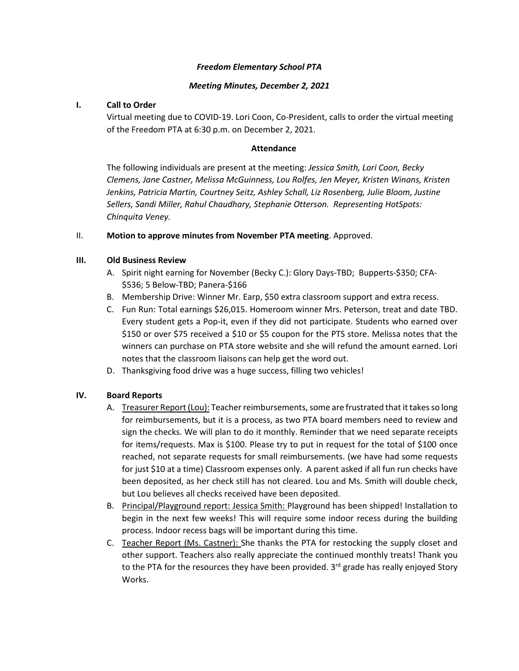### *Freedom Elementary School PTA*

### *Meeting Minutes, December 2, 2021*

### **I. Call to Order**

Virtual meeting due to COVID-19. Lori Coon, Co-President, calls to order the virtual meeting of the Freedom PTA at 6:30 p.m. on December 2, 2021.

### **Attendance**

The following individuals are present at the meeting: *Jessica Smith, Lori Coon, Becky Clemens, Jane Castner, Melissa McGuinness, Lou Rolfes, Jen Meyer, Kristen Winans, Kristen Jenkins, Patricia Martin, Courtney Seitz, Ashley Schall, Liz Rosenberg, Julie Bloom, Justine Sellers, Sandi Miller, Rahul Chaudhary, Stephanie Otterson. Representing HotSpots: Chinquita Veney.* 

### II. **Motion to approve minutes from November PTA meeting**. Approved.

### **III. Old Business Review**

- A. Spirit night earning for November (Becky C.): Glory Days-TBD; Bupperts-\$350; CFA- \$536; 5 Below-TBD; Panera-\$166
- B. Membership Drive: Winner Mr. Earp, \$50 extra classroom support and extra recess.
- C. Fun Run: Total earnings \$26,015. Homeroom winner Mrs. Peterson, treat and date TBD. Every student gets a Pop-it, even if they did not participate. Students who earned over \$150 or over \$75 received a \$10 or \$5 coupon for the PTS store. Melissa notes that the winners can purchase on PTA store website and she will refund the amount earned. Lori notes that the classroom liaisons can help get the word out.
- D. Thanksgiving food drive was a huge success, filling two vehicles!

# **IV. Board Reports**

- A. Treasurer Report (Lou): Teacher reimbursements, some are frustrated that it takes so long for reimbursements, but it is a process, as two PTA board members need to review and sign the checks. We will plan to do it monthly. Reminder that we need separate receipts for items/requests. Max is \$100. Please try to put in request for the total of \$100 once reached, not separate requests for small reimbursements. (we have had some requests for just \$10 at a time) Classroom expenses only. A parent asked if all fun run checks have been deposited, as her check still has not cleared. Lou and Ms. Smith will double check, but Lou believes all checks received have been deposited.
- B. Principal/Playground report: Jessica Smith: Playground has been shipped! Installation to begin in the next few weeks! This will require some indoor recess during the building process. Indoor recess bags will be important during this time.
- C. Teacher Report (Ms. Castner): She thanks the PTA for restocking the supply closet and other support. Teachers also really appreciate the continued monthly treats! Thank you to the PTA for the resources they have been provided.  $3<sup>rd</sup>$  grade has really enjoyed Story Works.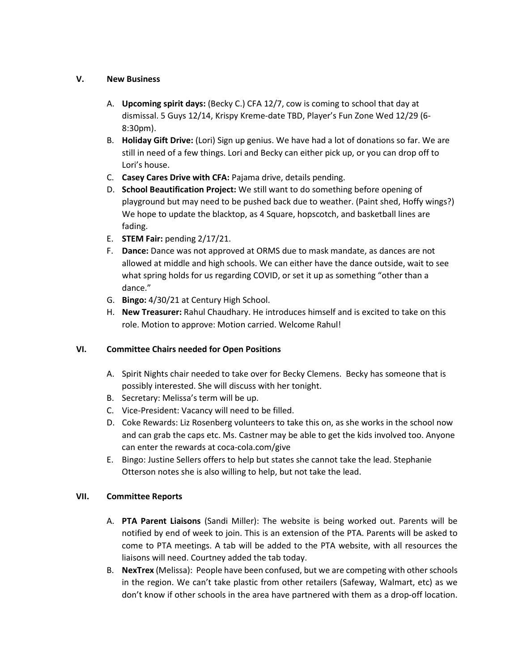## **V. New Business**

- A. **Upcoming spirit days:** (Becky C.) CFA 12/7, cow is coming to school that day at dismissal. 5 Guys 12/14, Krispy Kreme-date TBD, Player's Fun Zone Wed 12/29 (6- 8:30pm).
- B. **Holiday Gift Drive:** (Lori) Sign up genius. We have had a lot of donations so far. We are still in need of a few things. Lori and Becky can either pick up, or you can drop off to Lori's house.
- C. **Casey Cares Drive with CFA:** Pajama drive, details pending.
- D. **School Beautification Project:** We still want to do something before opening of playground but may need to be pushed back due to weather. (Paint shed, Hoffy wings?) We hope to update the blacktop, as 4 Square, hopscotch, and basketball lines are fading.
- E. **STEM Fair:** pending 2/17/21.
- F. **Dance:** Dance was not approved at ORMS due to mask mandate, as dances are not allowed at middle and high schools. We can either have the dance outside, wait to see what spring holds for us regarding COVID, or set it up as something "other than a dance."
- G. **Bingo:** 4/30/21 at Century High School.
- H. **New Treasurer:** Rahul Chaudhary. He introduces himself and is excited to take on this role. Motion to approve: Motion carried. Welcome Rahul!

# **VI. Committee Chairs needed for Open Positions**

- A. Spirit Nights chair needed to take over for Becky Clemens. Becky has someone that is possibly interested. She will discuss with her tonight.
- B. Secretary: Melissa's term will be up.
- C. Vice-President: Vacancy will need to be filled.
- D. Coke Rewards: Liz Rosenberg volunteers to take this on, as she works in the school now and can grab the caps etc. Ms. Castner may be able to get the kids involved too. Anyone can enter the rewards at coca-cola.com/give
- E. Bingo: Justine Sellers offers to help but states she cannot take the lead. Stephanie Otterson notes she is also willing to help, but not take the lead.

# **VII. Committee Reports**

- A. **PTA Parent Liaisons** (Sandi Miller): The website is being worked out. Parents will be notified by end of week to join. This is an extension of the PTA. Parents will be asked to come to PTA meetings. A tab will be added to the PTA website, with all resources the liaisons will need. Courtney added the tab today.
- B. **NexTrex** (Melissa): People have been confused, but we are competing with other schools in the region. We can't take plastic from other retailers (Safeway, Walmart, etc) as we don't know if other schools in the area have partnered with them as a drop-off location.